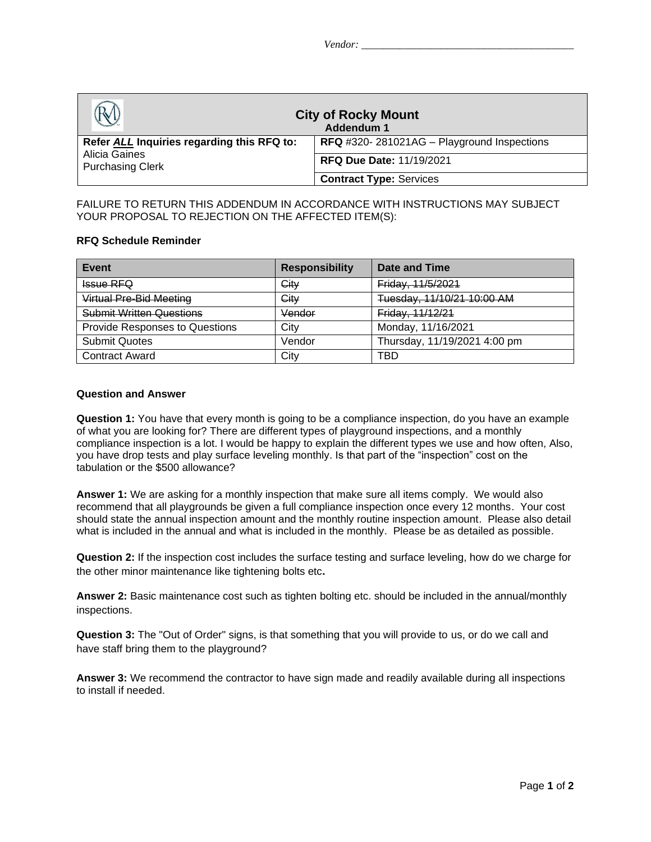|                                                                                        | <b>City of Rocky Mount</b><br>Addendum 1   |
|----------------------------------------------------------------------------------------|--------------------------------------------|
| Refer ALL Inquiries regarding this RFQ to:<br>Alicia Gaines<br><b>Purchasing Clerk</b> | RFQ #320-281021AG - Playground Inspections |
|                                                                                        | <b>RFQ Due Date: 11/19/2021</b>            |
|                                                                                        | <b>Contract Type: Services</b>             |

FAILURE TO RETURN THIS ADDENDUM IN ACCORDANCE WITH INSTRUCTIONS MAY SUBJECT YOUR PROPOSAL TO REJECTION ON THE AFFECTED ITEM(S):

## **RFQ Schedule Reminder**

| Event                                 | <b>Responsibility</b> | Date and Time                |
|---------------------------------------|-----------------------|------------------------------|
| <b>Issue RFQ</b>                      | City                  | Friday, 11/5/2021            |
| Virtual Pre-Bid Meeting               | City                  | Tuesday, 11/10/21 10:00 AM   |
| <b>Submit Written Questions</b>       | Vendor                | Friday, 11/12/21             |
| <b>Provide Responses to Questions</b> | City                  | Monday, 11/16/2021           |
| <b>Submit Quotes</b>                  | Vendor                | Thursday, 11/19/2021 4:00 pm |
| <b>Contract Award</b>                 | City                  | TBD                          |

## **Question and Answer**

**Question 1:** You have that every month is going to be a compliance inspection, do you have an example of what you are looking for? There are different types of playground inspections, and a monthly compliance inspection is a lot. I would be happy to explain the different types we use and how often, Also, you have drop tests and play surface leveling monthly. Is that part of the "inspection" cost on the tabulation or the \$500 allowance?

**Answer 1:** We are asking for a monthly inspection that make sure all items comply. We would also recommend that all playgrounds be given a full compliance inspection once every 12 months. Your cost should state the annual inspection amount and the monthly routine inspection amount. Please also detail what is included in the annual and what is included in the monthly. Please be as detailed as possible.

**Question 2:** If the inspection cost includes the surface testing and surface leveling, how do we charge for the other minor maintenance like tightening bolts etc**.**

**Answer 2:** Basic maintenance cost such as tighten bolting etc. should be included in the annual/monthly inspections.

**Question 3:** The "Out of Order" signs, is that something that you will provide to us, or do we call and have staff bring them to the playground?

**Answer 3:** We recommend the contractor to have sign made and readily available during all inspections to install if needed.